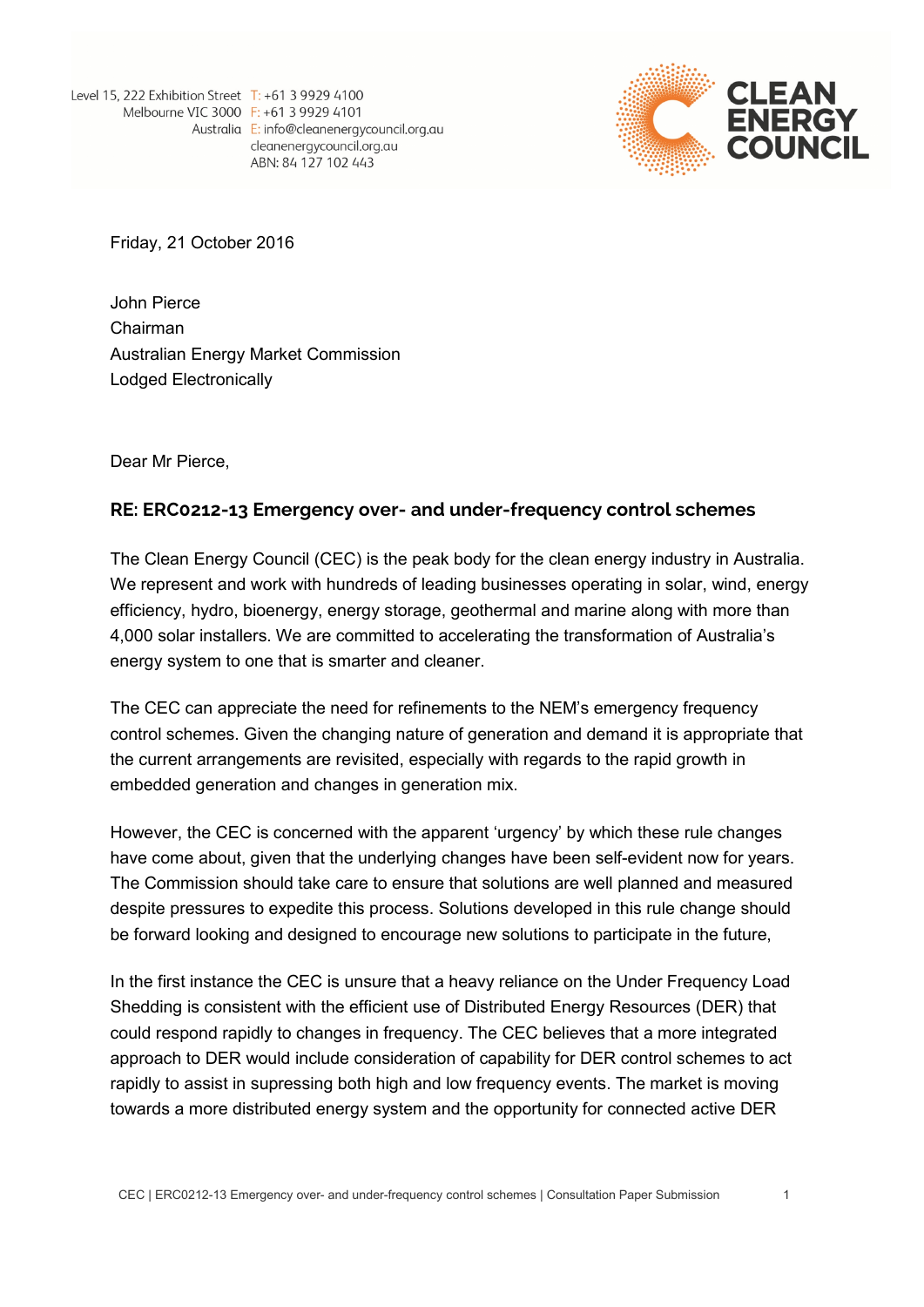Level 15, 222 Exhibition Street T: +61 3 9929 4100 Melbourne VIC 3000 F: +61 3 9929 4101 Australia E: info@cleanenergycouncil.org.au cleanenergycouncil.org.au ABN: 84 127 102 443



Friday, 21 October 2016

John Pierce Chairman Australian Energy Market Commission Lodged Electronically

Dear Mr Pierce,

## **RE: ERC0212-13 Emergency over- and under-frequency control schemes**

The Clean Energy Council (CEC) is the peak body for the clean energy industry in Australia. We represent and work with hundreds of leading businesses operating in solar, wind, energy efficiency, hydro, bioenergy, energy storage, geothermal and marine along with more than 4,000 solar installers. We are committed to accelerating the transformation of Australia's energy system to one that is smarter and cleaner.

The CEC can appreciate the need for refinements to the NEM's emergency frequency control schemes. Given the changing nature of generation and demand it is appropriate that the current arrangements are revisited, especially with regards to the rapid growth in embedded generation and changes in generation mix.

However, the CEC is concerned with the apparent 'urgency' by which these rule changes have come about, given that the underlying changes have been self-evident now for years. The Commission should take care to ensure that solutions are well planned and measured despite pressures to expedite this process. Solutions developed in this rule change should be forward looking and designed to encourage new solutions to participate in the future,

In the first instance the CEC is unsure that a heavy reliance on the Under Frequency Load Shedding is consistent with the efficient use of Distributed Energy Resources (DER) that could respond rapidly to changes in frequency. The CEC believes that a more integrated approach to DER would include consideration of capability for DER control schemes to act rapidly to assist in supressing both high and low frequency events. The market is moving towards a more distributed energy system and the opportunity for connected active DER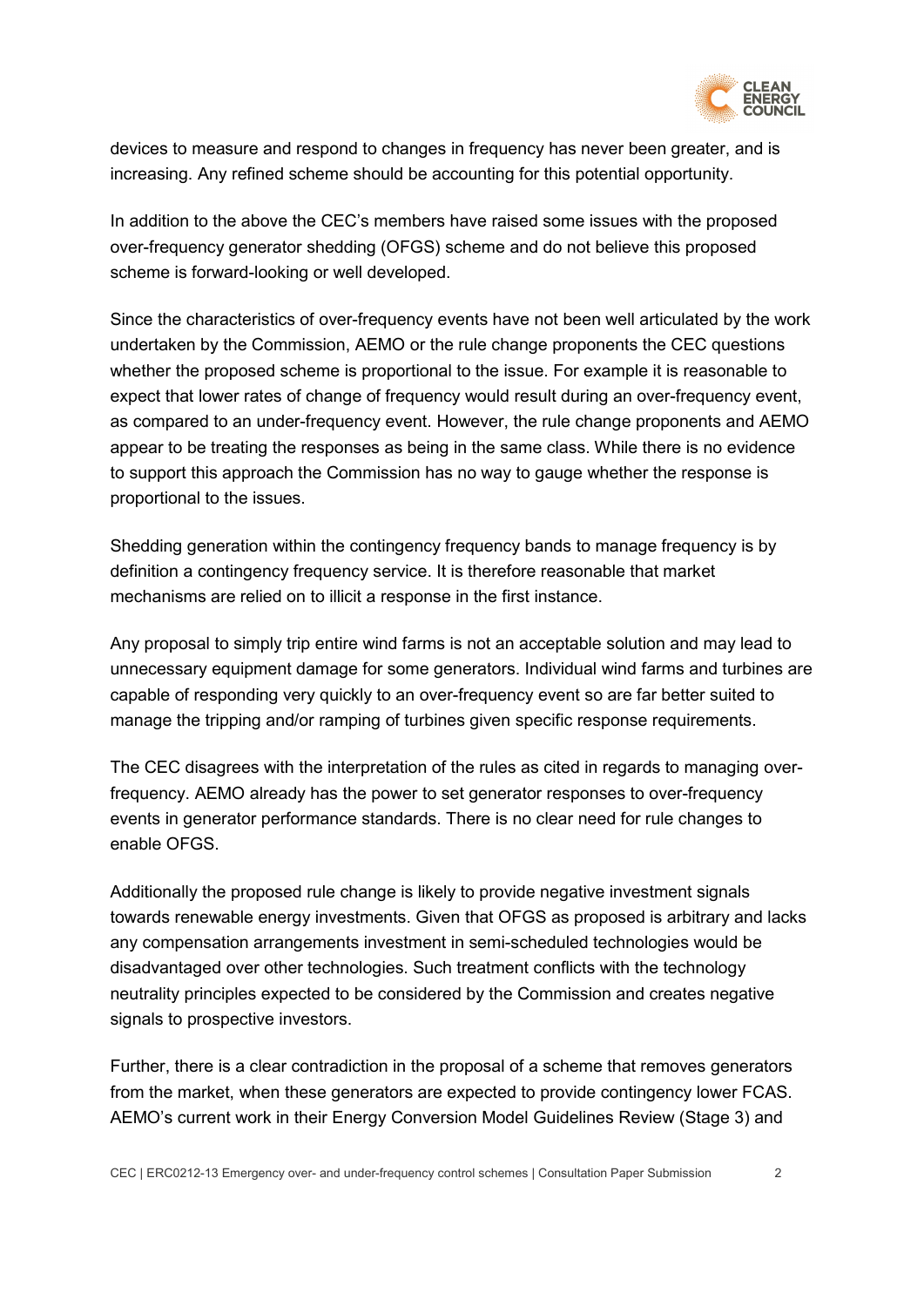

devices to measure and respond to changes in frequency has never been greater, and is increasing. Any refined scheme should be accounting for this potential opportunity.

In addition to the above the CEC's members have raised some issues with the proposed over-frequency generator shedding (OFGS) scheme and do not believe this proposed scheme is forward-looking or well developed.

Since the characteristics of over-frequency events have not been well articulated by the work undertaken by the Commission, AEMO or the rule change proponents the CEC questions whether the proposed scheme is proportional to the issue. For example it is reasonable to expect that lower rates of change of frequency would result during an over-frequency event, as compared to an under-frequency event. However, the rule change proponents and AEMO appear to be treating the responses as being in the same class. While there is no evidence to support this approach the Commission has no way to gauge whether the response is proportional to the issues.

Shedding generation within the contingency frequency bands to manage frequency is by definition a contingency frequency service. It is therefore reasonable that market mechanisms are relied on to illicit a response in the first instance.

Any proposal to simply trip entire wind farms is not an acceptable solution and may lead to unnecessary equipment damage for some generators. Individual wind farms and turbines are capable of responding very quickly to an over-frequency event so are far better suited to manage the tripping and/or ramping of turbines given specific response requirements.

The CEC disagrees with the interpretation of the rules as cited in regards to managing overfrequency. AEMO already has the power to set generator responses to over-frequency events in generator performance standards. There is no clear need for rule changes to enable OFGS.

Additionally the proposed rule change is likely to provide negative investment signals towards renewable energy investments. Given that OFGS as proposed is arbitrary and lacks any compensation arrangements investment in semi-scheduled technologies would be disadvantaged over other technologies. Such treatment conflicts with the technology neutrality principles expected to be considered by the Commission and creates negative signals to prospective investors.

Further, there is a clear contradiction in the proposal of a scheme that removes generators from the market, when these generators are expected to provide contingency lower FCAS. AEMO's current work in their Energy Conversion Model Guidelines Review (Stage 3) and